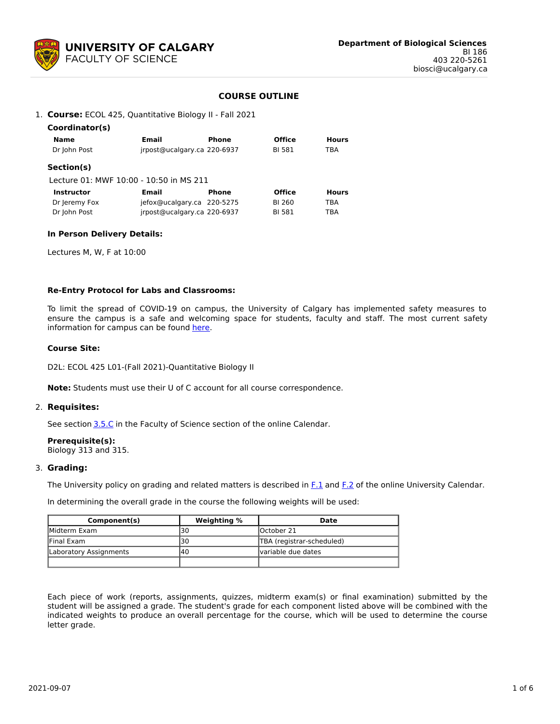

## **COURSE OUTLINE**

#### 1. **Course:** ECOL 425, Quantitative Biology II - Fall 2021

| Coordinator(s)                          |                             |       |               |              |
|-----------------------------------------|-----------------------------|-------|---------------|--------------|
| Name                                    | <b>Email</b>                | Phone | <b>Office</b> | <b>Hours</b> |
| Dr John Post                            | irpost@ucalgary.ca 220-6937 |       | BI 581        | TBA          |
| Section(s)                              |                             |       |               |              |
| Lecture 01: MWF 10:00 - 10:50 in MS 211 |                             |       |               |              |
| <b>Instructor</b>                       | Email                       | Phone | <b>Office</b> | <b>Hours</b> |
| Dr Jeremy Fox                           | iefox@ucalgary.ca 220-5275  |       | BI 260        | TBA          |
| Dr John Post                            | irpost@ucalgary.ca 220-6937 |       | BI 581        | TBA          |

#### **In Person Delivery Details:**

Lectures M, W, F at 10:00

#### **Re-Entry Protocol for Labs and Classrooms:**

To limit the spread of COVID-19 on campus, the University of Calgary has implemented safety measures to ensure the campus is a safe and welcoming space for students, faculty and staff. The most current safety information for campus can be found [here](https://www.ucalgary.ca/risk/emergency-management/covid-19-response/return-campus-safety).

#### **Course Site:**

D2L: ECOL 425 L01-(Fall 2021)-Quantitative Biology II

**Note:** Students must use their U of C account for all course correspondence.

#### 2. **Requisites:**

See section [3.5.C](http://www.ucalgary.ca/pubs/calendar/current/sc-3-5.html) in the Faculty of Science section of the online Calendar.

## **Prerequisite(s):**

Biology 313 and 315.

#### 3. **Grading:**

The University policy on grading and related matters is described in [F.1](http://www.ucalgary.ca/pubs/calendar/current/f-1.html) and [F.2](http://www.ucalgary.ca/pubs/calendar/current/f-2.html) of the online University Calendar.

In determining the overall grade in the course the following weights will be used:

| Component(s)           | Weighting % | Date                      |
|------------------------|-------------|---------------------------|
| <b>IMidterm Exam</b>   | 30          | lOctober 21               |
| <b>Final Exam</b>      | 30          | TBA (registrar-scheduled) |
| Laboratory Assignments | 140         | Ivariable due dates       |
|                        |             |                           |

Each piece of work (reports, assignments, quizzes, midterm exam(s) or final examination) submitted by the student will be assigned a grade. The student's grade for each component listed above will be combined with the indicated weights to produce an overall percentage for the course, which will be used to determine the course letter grade.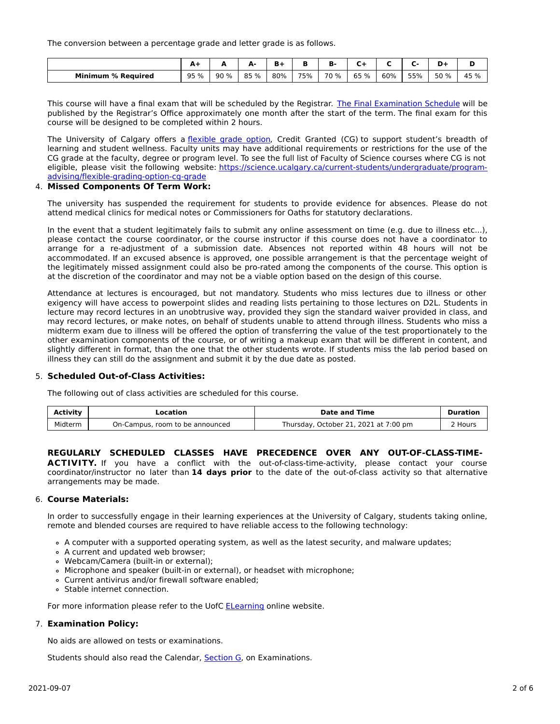The conversion between a percentage grade and letter grade is as follows.

|                           | <u>мт</u> | -   |      | <b>D</b> +<br>. . | в   | в.   |      |     |     |      |      |
|---------------------------|-----------|-----|------|-------------------|-----|------|------|-----|-----|------|------|
| <b>Minimum % Required</b> | 95 %      | 90% | 85 % | 80%               | 75% | 70 % | 65 % | 60% | 55% | 50 % | 45 % |

This course will have a final exam that will be scheduled by the Registrar. The Final [Examination](https://www.ucalgary.ca/registrar/exams) Schedule will be published by the Registrar's Office approximately one month after the start of the term. The final exam for this course will be designed to be completed within 2 hours.

The University of Calgary offers a [flexible](https://www.ucalgary.ca/pubs/calendar/current/f-1-3.html) grade option, Credit Granted (CG) to support student's breadth of learning and student wellness. Faculty units may have additional requirements or restrictions for the use of the CG grade at the faculty, degree or program level. To see the full list of Faculty of Science courses where CG is not eligible, please visit the following website: [https://science.ucalgary.ca/current-students/undergraduate/program](https://science.ucalgary.ca/current-students/undergraduate/program-advising/flexible-grading-option-cg-grade)advising/flexible-grading-option-cg-grade

## 4. **Missed Components Of Term Work:**

The university has suspended the requirement for students to provide evidence for absences. Please do not attend medical clinics for medical notes or Commissioners for Oaths for statutory declarations.

In the event that a student legitimately fails to submit any online assessment on time (e.g. due to illness etc...), please contact the course coordinator, or the course instructor if this course does not have a coordinator to arrange for a re-adjustment of a submission date. Absences not reported within 48 hours will not be accommodated. If an excused absence is approved, one possible arrangement is that the percentage weight of the legitimately missed assignment could also be pro-rated among the components of the course. This option is at the discretion of the coordinator and may not be a viable option based on the design of this course.

Attendance at lectures is encouraged, but not mandatory. Students who miss lectures due to illness or other exigency will have access to powerpoint slides and reading lists pertaining to those lectures on D2L. Students in lecture may record lectures in an unobtrusive way, provided they sign the standard waiver provided in class, and may record lectures, or make notes, on behalf of students unable to attend through illness. Students who miss a midterm exam due to illness will be offered the option of transferring the value of the test proportionately to the other examination components of the course, or of writing a makeup exam that will be different in content, and slightly different in format, than the one that the other students wrote. If students miss the lab period based on illness they can still do the assignment and submit it by the due date as posted.

## 5. **Scheduled Out-of-Class Activities:**

The following out of class activities are scheduled for this course.

| Activity | Location                        | <b>Date and Time</b>                  | <b>Duration</b>    |
|----------|---------------------------------|---------------------------------------|--------------------|
| Midterm  | On-Campus, room to be announced | Thursday, October 21, 2021 at 7:00 pm | <sup>ን</sup> Hours |

## **REGULARLY SCHEDULED CLASSES HAVE PRECEDENCE OVER ANY OUT-OF-CLASS-TIME-**

ACTIVITY. If you have a conflict with the out-of-class-time-activity, please contact your course coordinator/instructor no later than **14 days prior** to the date of the out-of-class activity so that alternative arrangements may be made.

#### 6. **Course Materials:**

In order to successfully engage in their learning experiences at the University of Calgary, students taking online, remote and blended courses are required to have reliable access to the following technology:

- A computer with a supported operating system, as well as the latest security, and malware updates;
- A current and updated web browser;
- Webcam/Camera (built-in or external);
- Microphone and speaker (built-in or external), or headset with microphone;
- Current antivirus and/or firewall software enabled;
- Stable internet connection.

For more information please refer to the UofC **[ELearning](https://elearn.ucalgary.ca/technology-requirements-for-students)** online website.

## 7. **Examination Policy:**

No aids are allowed on tests or examinations.

Students should also read the Calendar, **[Section](http://www.ucalgary.ca/pubs/calendar/current/g.html) G**, on Examinations.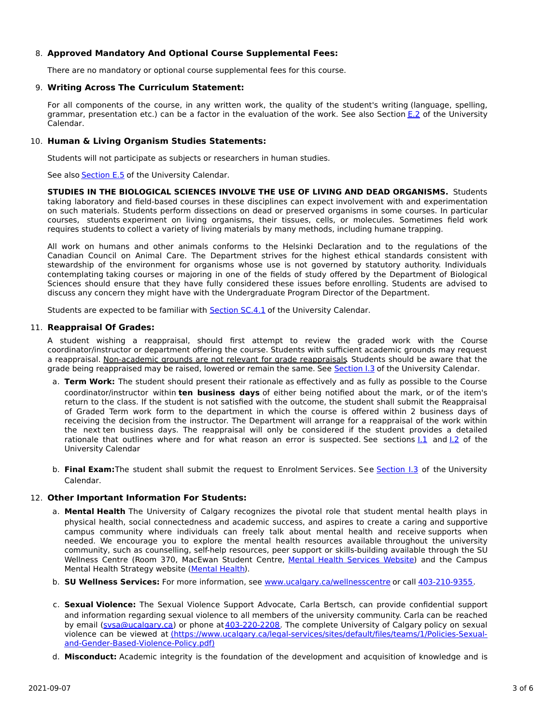## 8. **Approved Mandatory And Optional Course Supplemental Fees:**

There are no mandatory or optional course supplemental fees for this course.

## 9. **Writing Across The Curriculum Statement:**

For all components of the course, in any written work, the quality of the student's writing (language, spelling, grammar, presentation etc.) can be a factor in the evaluation of the work. See also Section [E.2](http://www.ucalgary.ca/pubs/calendar/current/e-2.html) of the University Calendar.

## 10. **Human & Living Organism Studies Statements:**

Students will not participate as subjects or researchers in human studies.

See also [Section](http://www.ucalgary.ca/pubs/calendar/current/e-5.html) E.5 of the University Calendar.

**STUDIES IN THE BIOLOGICAL SCIENCES INVOLVE THE USE OF LIVING AND DEAD ORGANISMS.** Students taking laboratory and field-based courses in these disciplines can expect involvement with and experimentation on such materials. Students perform dissections on dead or preserved organisms in some courses. In particular courses, students experiment on living organisms, their tissues, cells, or molecules. Sometimes field work requires students to collect a variety of living materials by many methods, including humane trapping.

All work on humans and other animals conforms to the Helsinki Declaration and to the regulations of the Canadian Council on Animal Care. The Department strives for the highest ethical standards consistent with stewardship of the environment for organisms whose use is not governed by statutory authority. Individuals contemplating taking courses or majoring in one of the fields of study offered by the Department of Biological Sciences should ensure that they have fully considered these issues before enrolling. Students are advised to discuss any concern they might have with the Undergraduate Program Director of the Department.

Students are expected to be familiar with **[Section](http://www.ucalgary.ca/pubs/calendar/current/sc-4-1.html) SC.4.1** of the University Calendar.

#### 11. **Reappraisal Of Grades:**

A student wishing a reappraisal, should first attempt to review the graded work with the Course coordinator/instructor or department offering the course. Students with sufficient academic grounds may request a reappraisal. Non-academic grounds are not relevant for grade reappraisals. Students should be aware that the grade being reappraised may be raised, lowered or remain the same. See [Section](http://www.ucalgary.ca/pubs/calendar/current/i-3.html) I.3 of the University Calendar.

- a. **Term Work:** The student should present their rationale as effectively and as fully as possible to the Course coordinator/instructor within **ten business days** of either being notified about the mark, or of the item's return to the class. If the student is not satisfied with the outcome, the student shall submit the Reappraisal of Graded Term work form to the department in which the course is offered within 2 business days of receiving the decision from the instructor. The Department will arrange for a reappraisal of the work within the next ten business days. The reappraisal will only be considered if the student provides a detailed rationale that outlines where and for what reason an error is suspected. See sections 1.1 and 1.2 of the University Calendar
- b. **Final Exam:**The student shall submit the request to Enrolment Services. See [Section](http://www.ucalgary.ca/pubs/calendar/current/i-3.html) I.3 of the University Calendar.

## 12. **Other Important Information For Students:**

- a. **Mental Health** The University of Calgary recognizes the pivotal role that student mental health plays in physical health, social connectedness and academic success, and aspires to create a caring and supportive campus community where individuals can freely talk about mental health and receive supports when needed. We encourage you to explore the mental health resources available throughout the university community, such as counselling, self-help resources, peer support or skills-building available through the SU Wellness Centre (Room 370, MacEwan Student Centre, Mental Health [Services](https://www.ucalgary.ca/wellnesscentre/services/mental-health-services) Website) and the Campus Mental Health Strategy website [\(Mental](http://www.ucalgary.ca/mentalhealth) Health).
- b. **SU Wellness Services:** For more information, see [www.ucalgary.ca/wellnesscentre](http://www.ucalgary.ca/wellnesscentre) or call [403-210-9355.](tel:4032109355)
- c. **Sexual Violence:** The Sexual Violence Support Advocate, Carla Bertsch, can provide confidential support and information regarding sexual violence to all members of the university community. Carla can be reached by email [\(svsa@ucalgary.ca](mailto:svsa@ucalgary.ca)) or phone at[403-220-2208](tel:4032202208). The complete University of Calgary policy on sexual violence can be viewed at [\(https://www.ucalgary.ca/legal-services/sites/default/files/teams/1/Policies-Sexual](https://www.ucalgary.ca/legal-services/sites/default/files/teams/1/Policies-Sexual-and-Gender-Based-Violence-Policy.pdf)and-Gender-Based-Violence-Policy.pdf)
- d. **Misconduct:** Academic integrity is the foundation of the development and acquisition of knowledge and is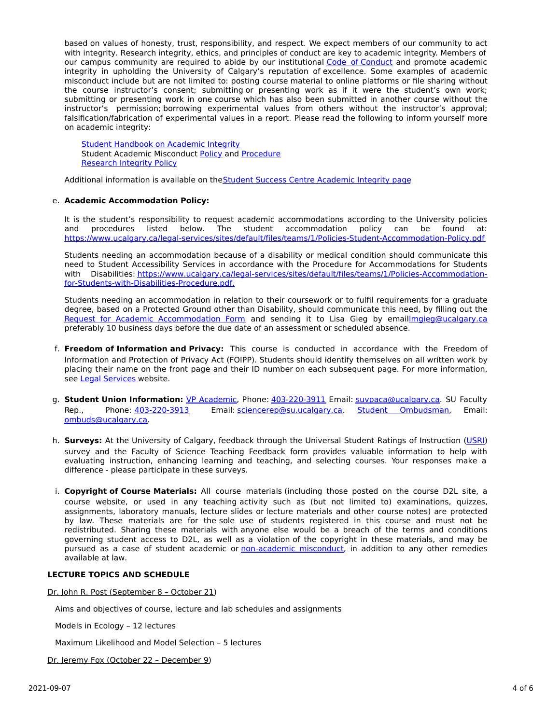based on values of honesty, trust, responsibility, and respect. We expect members of our community to act with integrity. Research integrity, ethics, and principles of conduct are key to academic integrity. Members of our campus community are required to abide by our institutional Code of [Conduct](https://www.ucalgary.ca/legal-services/sites/default/files/teams/1/Policies-Code-of-Conduct.pdf) and promote academic integrity in upholding the University of Calgary's reputation of excellence. Some examples of academic misconduct include but are not limited to: posting course material to online platforms or file sharing without the course instructor's consent; submitting or presenting work as if it were the student's own work; submitting or presenting work in one course which has also been submitted in another course without the instructor's permission; borrowing experimental values from others without the instructor's approval; falsification/fabrication of experimental values in a report. Please read the following to inform yourself more on academic integrity:

**Student [Handbook](https://www.ucalgary.ca/live-uc-ucalgary-site/sites/default/files/teams/9/AI-Student-handbook-1.pdf) on Academic Integrity** Student Academic Misconduct [Policy](https://www.ucalgary.ca/legal-services/sites/default/files/teams/1/Policies-Student-Academic-Misconduct-Policy.pdf) and [Procedure](https://www.ucalgary.ca/legal-services/sites/default/files/teams/1/Policies-Student-Academic-Misconduct-Procedure.pdf) [Research](https://www.ucalgary.ca/legal-services/sites/default/files/teams/1/Policies-Research-Integrity-Policy.pdf) Integrity Policy

Additional information is available on the Student Success Centre [Academic](https://ucalgary.ca/student-services/student-success/learning/academic-integrity) Integrity page

## e. **Academic Accommodation Policy:**

It is the student's responsibility to request academic accommodations according to the University policies and procedures listed below. The student accommodation policy can be found at: <https://www.ucalgary.ca/legal-services/sites/default/files/teams/1/Policies-Student-Accommodation-Policy.pdf>

Students needing an accommodation because of a disability or medical condition should communicate this need to Student Accessibility Services in accordance with the Procedure for Accommodations for Students with Disabilities: [https://www.ucalgary.ca/legal-services/sites/default/files/teams/1/Policies-Accommodation](https://www.ucalgary.ca/legal-services/sites/default/files/teams/1/Policies-Accommodation-for-Students-with-Disabilities-Procedure.pdf)for-Students-with-Disabilities-Procedure.pdf.

Students needing an accommodation in relation to their coursework or to fulfil requirements for a graduate degree, based on a Protected Ground other than Disability, should communicate this need, by filling out the Request for Academic [Accommodation](https://science.ucalgary.ca/sites/default/files/teams/1/request-accommodation-academic-courses.pdf) Form and sending it to Lisa Gieg by emai[llmgieg@ucalgary.ca](mailto:lmgieg@ucalgary.ca) preferably 10 business days before the due date of an assessment or scheduled absence.

- f. **Freedom of Information and Privacy:** This course is conducted in accordance with the Freedom of Information and Protection of Privacy Act (FOIPP). Students should identify themselves on all written work by placing their name on the front page and their ID number on each subsequent page. For more information, see Legal [Services](https://www.ucalgary.ca/legal-services/access-information-privacy) website.
- g. **Student Union Information:** VP [Academic](http://www.su.ucalgary.ca/contact), Phone: [403-220-3911](tel:4032203911) Email: [suvpaca@ucalgary.ca](mailto:suvpaca@ucalgary.ca). SU Faculty Rep., Phone: [403-220-3913](tel:4032203913) Email: [sciencerep@su.ucalgary.ca](mailto:sciencerep@su.ucalgary.ca). Student [Ombudsman](https://www.ucalgary.ca/ombuds/), Email: [ombuds@ucalgary.ca](mailto:%20ombuds@ucalgary.ca).
- h. **Surveys:** At the University of Calgary, feedback through the Universal Student Ratings of Instruction [\(USRI](http://www.ucalgary.ca/usri)) survey and the Faculty of Science Teaching Feedback form provides valuable information to help with evaluating instruction, enhancing learning and teaching, and selecting courses. Your responses make a difference - please participate in these surveys.
- i. **Copyright of Course Materials:** All course materials (including those posted on the course D2L site, a course website, or used in any teaching activity such as (but not limited to) examinations, quizzes, assignments, laboratory manuals, lecture slides or lecture materials and other course notes) are protected by law. These materials are for the sole use of students registered in this course and must not be redistributed. Sharing these materials with anyone else would be a breach of the terms and conditions governing student access to D2L, as well as a violation of the copyright in these materials, and may be pursued as a case of student academic or [non-academic](https://www.ucalgary.ca/conduct/policy/non-academic-misconduct-policy) misconduct, in addition to any other remedies available at law.

## **LECTURE TOPICS AND SCHEDULE**

Dr. John R. Post (September 8 – October 21)

Aims and objectives of course, lecture and lab schedules and assignments

Models in Ecology – 12 lectures

Maximum Likelihood and Model Selection – 5 lectures

Dr. Jeremy Fox (October 22 - December 9)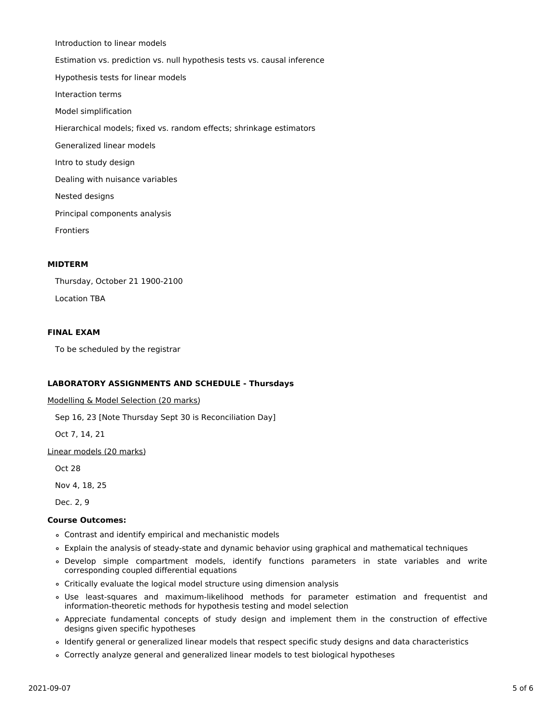Introduction to linear models Estimation vs. prediction vs. null hypothesis tests vs. causal inference Hypothesis tests for linear models Interaction terms Model simplification Hierarchical models; fixed vs. random effects; shrinkage estimators Generalized linear models Intro to study design Dealing with nuisance variables Nested designs Principal components analysis Frontiers

## **MIDTERM**

Thursday, October 21 1900-2100 Location TBA

## **FINAL EXAM**

To be scheduled by the registrar

## **LABORATORY ASSIGNMENTS AND SCHEDULE - Thursdays**

Modelling & Model Selection (20 marks)

Sep 16, 23 [Note Thursday Sept 30 is Reconciliation Day]

Oct 7, 14, 21

Linear models (20 marks)

Oct 28

Nov 4, 18, 25

Dec. 2, 9

## **Course Outcomes:**

- Contrast and identify empirical and mechanistic models
- Explain the analysis of steady-state and dynamic behavior using graphical and mathematical techniques
- Develop simple compartment models, identify functions parameters in state variables and write corresponding coupled differential equations
- Critically evaluate the logical model structure using dimension analysis
- Use least-squares and maximum-likelihood methods for parameter estimation and frequentist and information-theoretic methods for hypothesis testing and model selection
- Appreciate fundamental concepts of study design and implement them in the construction of effective designs given specific hypotheses
- Identify general or generalized linear models that respect specific study designs and data characteristics
- Correctly analyze general and generalized linear models to test biological hypotheses